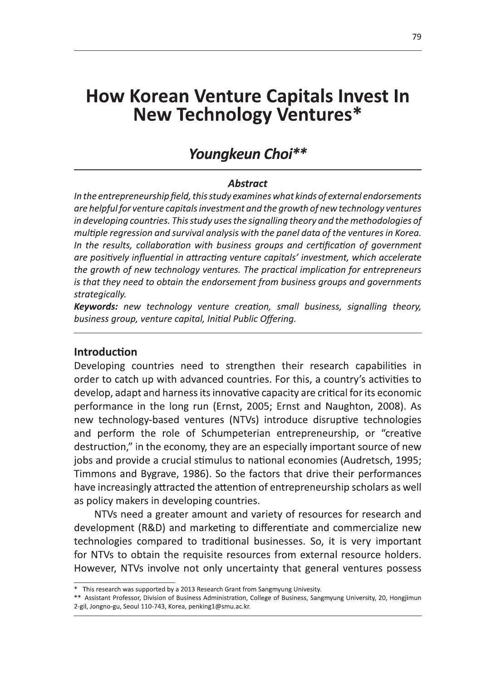# **How Korean Venture Capitals Invest In New Technology Ventures\***

# Youngkeun Choi\*\*

#### **Abstract**

In the entrepreneurship field, this study examines what kinds of external endorsements are helpful for venture capitals investment and the growth of new technology ventures in developing countries. This study uses the signalling theory and the methodologies of multiple regression and survival analysis with the panel data of the ventures in Korea. In the results, collaboration with business groups and certification of government are positively influential in attracting venture capitals' investment, which accelerate the growth of new technology ventures. The practical implication for entrepreneurs is that they need to obtain the endorsement from business groups and governments strategically.

**Keywords:** new technology venture creation, small business, signalling theory, business group, venture capital, Initial Public Offering.

#### **Introduction**

Developing countries need to strengthen their research capabilities in order to catch up with advanced countries. For this, a country's activities to develop, adapt and harness its innovative capacity are critical for its economic performance in the long run (Ernst, 2005; Ernst and Naughton, 2008). As new technology-based ventures (NTVs) introduce disruptive technologies and perform the role of Schumpeterian entrepreneurship, or "creative destruction," in the economy, they are an especially important source of new jobs and provide a crucial stimulus to national economies (Audretsch, 1995; Timmons and Bygrave, 1986). So the factors that drive their performances have increasingly attracted the attention of entrepreneurship scholars as well as policy makers in developing countries.

NTVs need a greater amount and variety of resources for research and development (R&D) and marketing to differentiate and commercialize new technologies compared to traditional businesses. So, it is very important for NTVs to obtain the requisite resources from external resource holders. However, NTVs involve not only uncertainty that general ventures possess

<sup>\*</sup> This research was supported by a 2013 Research Grant from Sangmyung Univesity.

<sup>\*\*</sup> Assistant Professor, Division of Business Administration, College of Business, Sangmyung University, 20, Hongjimun 2-gil, Jongno-gu, Seoul 110-743, Korea, penking1@smu.ac.kr.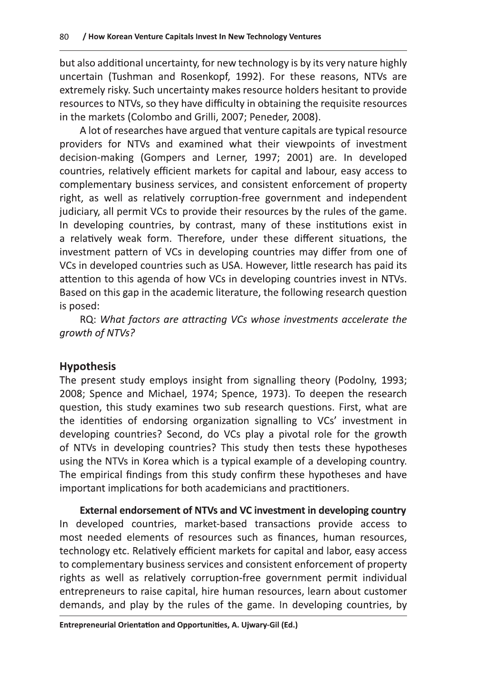but also additional uncertainty, for new technology is by its very nature highly uncertain (Tushman and Rosenkopf, 1992). For these reasons, NTVs are extremely risky. Such uncertainty makes resource holders hesitant to provide resources to NTVs, so they have difficulty in obtaining the requisite resources in the markets (Colombo and Grilli, 2007; Peneder, 2008).

A lot of researches have argued that venture capitals are typical resource providers for NTVs and examined what their viewpoints of investment decision-making (Gompers and Lerner, 1997; 2001) are. In developed countries, relatively efficient markets for capital and labour, easy access to complementary business services, and consistent enforcement of property right, as well as relatively corruption-free government and independent judiciary, all permit VCs to provide their resources by the rules of the game. In developing countries, by contrast, many of these institutions exist in a relatively weak form. Therefore, under these different situations, the investment pattern of VCs in developing countries may differ from one of VCs in developed countries such as USA. However, little research has paid its attention to this agenda of how VCs in developing countries invest in NTVs. Based on this gap in the academic literature, the following research question is posed:

RQ: What factors are attracting VCs whose investments accelerate the growth of NTVs?

# **Hypothesis**

The present study employs insight from signalling theory (Podolny, 1993; 2008; Spence and Michael, 1974; Spence, 1973). To deepen the research question, this study examines two sub research questions. First, what are the identities of endorsing organization signalling to VCs' investment in developing countries? Second, do VCs play a pivotal role for the growth of NTVs in developing countries? This study then tests these hypotheses using the NTVs in Korea which is a typical example of a developing country. The empirical findings from this study confirm these hypotheses and have important implications for both academicians and practitioners.

External endorsement of NTVs and VC investment in developing country In developed countries, market-based transactions provide access to most needed elements of resources such as finances, human resources, technology etc. Relatively efficient markets for capital and labor, easy access to complementary business services and consistent enforcement of property rights as well as relatively corruption-free government permit individual entrepreneurs to raise capital, hire human resources, learn about customer demands, and play by the rules of the game. In developing countries, by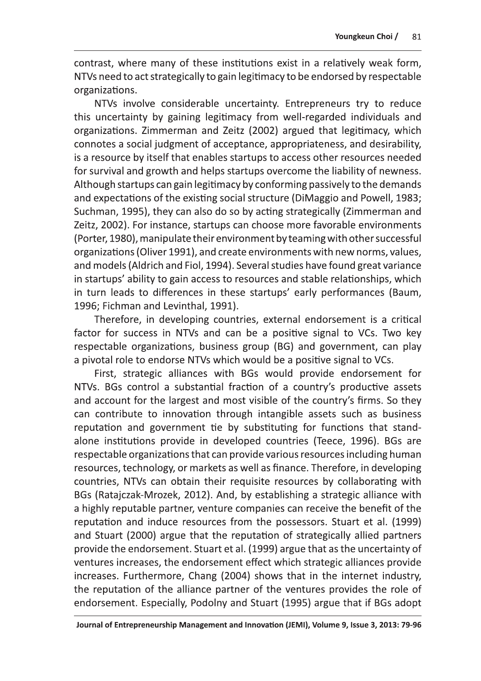contrast, where many of these institutions exist in a relatively weak form, NTVs need to act strategically to gain legitimacy to be endorsed by respectable organizations.

NTVs involve considerable uncertainty. Entrepreneurs try to reduce this uncertainty by gaining legitimacy from well-regarded individuals and organizations. Zimmerman and Zeitz (2002) argued that legitimacy, which connotes a social judgment of acceptance, appropriateness, and desirability, is a resource by itself that enables startups to access other resources needed for survival and growth and helps startups overcome the liability of newness. Although startups can gain legitimacy by conforming passively to the demands and expectations of the existing social structure (DiMaggio and Powell, 1983; Suchman, 1995), they can also do so by acting strategically (Zimmerman and Zeitz, 2002). For instance, startups can choose more favorable environments (Porter, 1980), manipulate their environment by teaming with other successful organizations (Oliver 1991), and create environments with new norms, values, and models (Aldrich and Fiol, 1994). Several studies have found great variance in startups' ability to gain access to resources and stable relationships, which in turn leads to differences in these startups' early performances (Baum, 1996; Fichman and Levinthal, 1991).

Therefore, in developing countries, external endorsement is a critical factor for success in NTVs and can be a positive signal to VCs. Two key respectable organizations, business group (BG) and government, can play a pivotal role to endorse NTVs which would be a positive signal to VCs.

First, strategic alliances with BGs would provide endorsement for NTVs. BGs control a substantial fraction of a country's productive assets and account for the largest and most visible of the country's firms. So they can contribute to innovation through intangible assets such as business reputation and government tie by substituting for functions that standalone institutions provide in developed countries (Teece, 1996). BGs are respectable organizations that can provide various resources including human resources, technology, or markets as well as finance. Therefore, in developing countries, NTVs can obtain their requisite resources by collaborating with BGs (Ratajczak-Mrozek, 2012). And, by establishing a strategic alliance with a highly reputable partner, venture companies can receive the benefit of the reputation and induce resources from the possessors. Stuart et al. (1999) and Stuart (2000) argue that the reputation of strategically allied partners provide the endorsement. Stuart et al. (1999) argue that as the uncertainty of ventures increases, the endorsement effect which strategic alliances provide increases. Furthermore, Chang (2004) shows that in the internet industry, the reputation of the alliance partner of the ventures provides the role of endorsement. Especially, Podolny and Stuart (1995) argue that if BGs adopt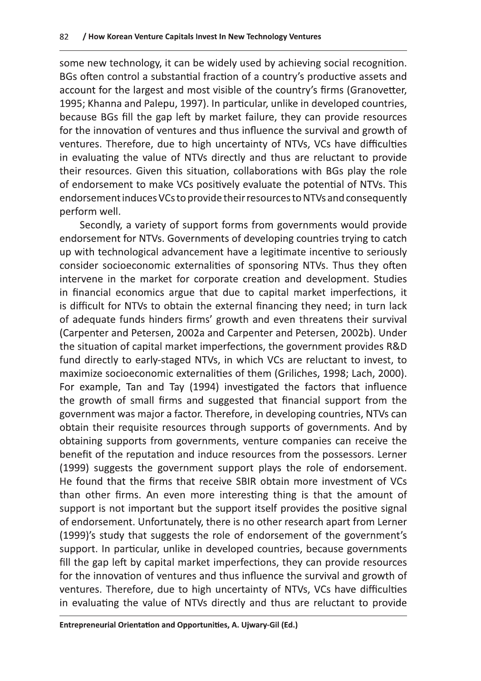some new technology, it can be widely used by achieving social recognition. BGs often control a substantial fraction of a country's productive assets and account for the largest and most visible of the country's firms (Granovetter, 1995; Khanna and Palepu, 1997). In particular, unlike in developed countries, because BGs fill the gap left by market failure, they can provide resources for the innovation of ventures and thus influence the survival and growth of ventures. Therefore, due to high uncertainty of NTVs, VCs have difficulties in evaluating the value of NTVs directly and thus are reluctant to provide their resources. Given this situation, collaborations with BGs play the role of endorsement to make VCs positively evaluate the potential of NTVs. This endorsement induces VCs to provide their resources to NTVs and consequently perform well.

Secondly, a variety of support forms from governments would provide endorsement for NTVs. Governments of developing countries trying to catch up with technological advancement have a legitimate incentive to seriously consider socioeconomic externalities of sponsoring NTVs. Thus they often intervene in the market for corporate creation and development. Studies in financial economics argue that due to capital market imperfections, it is difficult for NTVs to obtain the external financing they need; in turn lack of adequate funds hinders firms' growth and even threatens their survival (Carpenter and Petersen, 2002a and Carpenter and Petersen, 2002b). Under the situation of capital market imperfections, the government provides R&D fund directly to early-staged NTVs, in which VCs are reluctant to invest, to maximize socioeconomic externalities of them (Griliches, 1998; Lach, 2000). For example, Tan and Tay (1994) investigated the factors that influence the growth of small firms and suggested that financial support from the government was major a factor. Therefore, in developing countries, NTVs can obtain their requisite resources through supports of governments. And by obtaining supports from governments, venture companies can receive the benefit of the reputation and induce resources from the possessors. Lerner (1999) suggests the government support plays the role of endorsement. He found that the firms that receive SBIR obtain more investment of VCs than other firms. An even more interesting thing is that the amount of support is not important but the support itself provides the positive signal of endorsement. Unfortunately, there is no other research apart from Lerner (1999)'s study that suggests the role of endorsement of the government's support. In particular, unlike in developed countries, because governments fill the gap left by capital market imperfections, they can provide resources for the innovation of ventures and thus influence the survival and growth of ventures. Therefore, due to high uncertainty of NTVs, VCs have difficulties in evaluating the value of NTVs directly and thus are reluctant to provide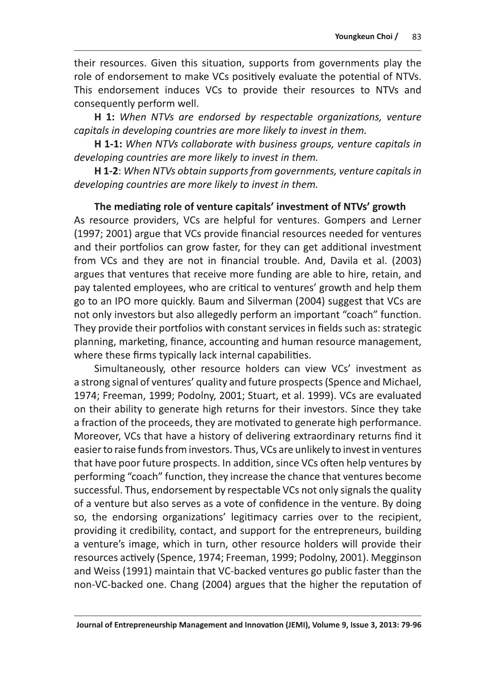their resources. Given this situation, supports from governments play the role of endorsement to make VCs positively evaluate the potential of NTVs. This endorsement induces VCs to provide their resources to NTVs and consequently perform well.

H 1: When NTVs are endorsed by respectable organizations, venture capitals in developing countries are more likely to invest in them.

**H 1-1:** When NTVs collaborate with business groups, venture capitals in developing countries are more likely to invest in them.

H 1-2: When NTVs obtain supports from governments, venture capitals in developing countries are more likely to invest in them.

The mediating role of venture capitals' investment of NTVs' growth As resource providers, VCs are helpful for ventures. Gompers and Lerner (1997; 2001) argue that VCs provide financial resources needed for ventures and their portfolios can grow faster, for they can get additional investment from VCs and they are not in financial trouble. And, Davila et al. (2003) argues that ventures that receive more funding are able to hire, retain, and pay talented employees, who are critical to ventures' growth and help them go to an IPO more quickly. Baum and Silverman (2004) suggest that VCs are not only investors but also allegedly perform an important "coach" function. They provide their portfolios with constant services in fields such as: strategic planning, marketing, finance, accounting and human resource management, where these firms typically lack internal capabilities.

Simultaneously, other resource holders can view VCs' investment as a strong signal of ventures' quality and future prospects (Spence and Michael, 1974; Freeman, 1999; Podolny, 2001; Stuart, et al. 1999). VCs are evaluated on their ability to generate high returns for their investors. Since they take a fraction of the proceeds, they are motivated to generate high performance. Moreover, VCs that have a history of delivering extraordinary returns find it easier to raise funds from investors. Thus, VCs are unlikely to invest in ventures that have poor future prospects. In addition, since VCs often help ventures by performing "coach" function, they increase the chance that ventures become successful. Thus, endorsement by respectable VCs not only signals the quality of a venture but also serves as a vote of confidence in the venture. By doing so, the endorsing organizations' legitimacy carries over to the recipient, providing it credibility, contact, and support for the entrepreneurs, building a venture's image, which in turn, other resource holders will provide their resources actively (Spence, 1974; Freeman, 1999; Podolny, 2001). Megginson and Weiss (1991) maintain that VC-backed ventures go public faster than the non-VC-backed one. Chang (2004) argues that the higher the reputation of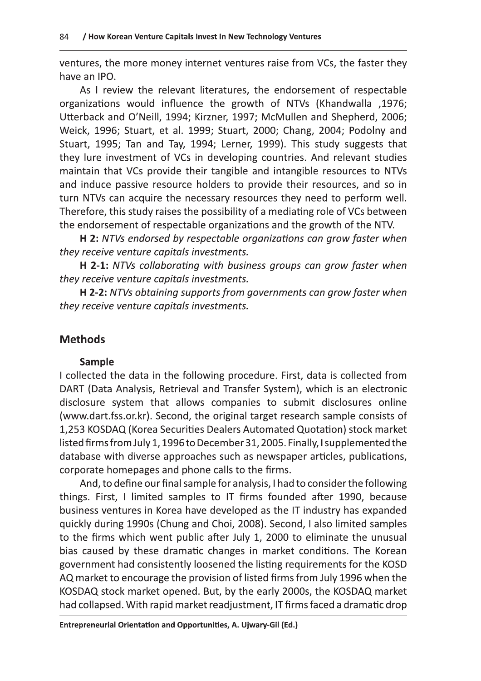ventures, the more money internet ventures raise from VCs, the faster they have an IPO.

As I review the relevant literatures, the endorsement of respectable organizations would influence the growth of NTVs (Khandwalla, 1976; Utterback and O'Neill, 1994; Kirzner, 1997; McMullen and Shepherd, 2006; Weick, 1996; Stuart, et al. 1999; Stuart, 2000; Chang, 2004; Podolny and Stuart, 1995; Tan and Tay, 1994; Lerner, 1999). This study suggests that they lure investment of VCs in developing countries. And relevant studies maintain that VCs provide their tangible and intangible resources to NTVs and induce passive resource holders to provide their resources, and so in turn NTVs can acquire the necessary resources they need to perform well. Therefore, this study raises the possibility of a mediating role of VCs between the endorsement of respectable organizations and the growth of the NTV.

H 2: NTVs endorsed by respectable organizations can grow faster when they receive venture capitals investments.

H 2-1: NTVs collaborating with business groups can grow faster when they receive venture capitals investments.

H 2-2: NTVs obtaining supports from governments can grow faster when they receive venture capitals investments.

# **Methods**

# Sample

I collected the data in the following procedure. First, data is collected from DART (Data Analysis, Retrieval and Transfer System), which is an electronic disclosure system that allows companies to submit disclosures online (www.dart.fss.or.kr). Second, the original target research sample consists of 1,253 KOSDAQ (Korea Securities Dealers Automated Quotation) stock market listed firms from July 1, 1996 to December 31, 2005. Finally, I supplemented the database with diverse approaches such as newspaper articles, publications, corporate homepages and phone calls to the firms.

And, to define our final sample for analysis, I had to consider the following things. First, I limited samples to IT firms founded after 1990, because business ventures in Korea have developed as the IT industry has expanded quickly during 1990s (Chung and Choi, 2008). Second, I also limited samples to the firms which went public after July 1, 2000 to eliminate the unusual bias caused by these dramatic changes in market conditions. The Korean government had consistently loosened the listing requirements for the KOSD AQ market to encourage the provision of listed firms from July 1996 when the KOSDAQ stock market opened. But, by the early 2000s, the KOSDAQ market had collapsed. With rapid market readjustment, IT firms faced a dramatic drop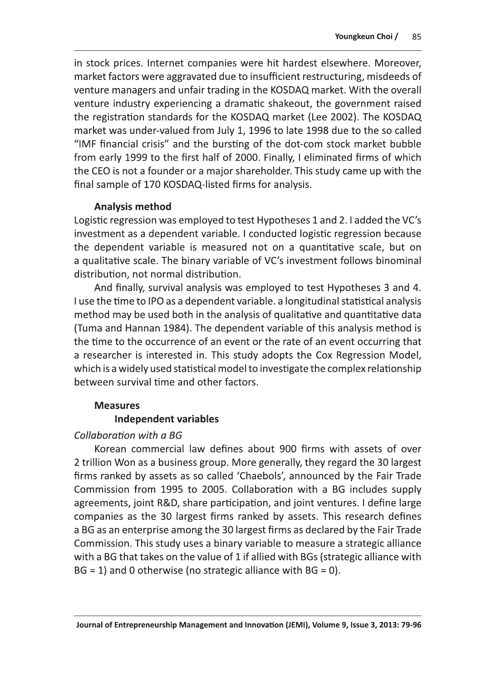in stock prices. Internet companies were hit hardest elsewhere. Moreover, market factors were aggravated due to insufficient restructuring, misdeeds of venture managers and unfair trading in the KOSDAQ market. With the overall venture industry experiencing a dramatic shakeout, the government raised the registration standards for the KOSDAQ market (Lee 2002). The KOSDAQ market was under-valued from July 1, 1996 to late 1998 due to the so called "IMF financial crisis" and the bursting of the dot-com stock market bubble from early 1999 to the first half of 2000. Finally, I eliminated firms of which the CEO is not a founder or a major shareholder. This study came up with the final sample of 170 KOSDAQ-listed firms for analysis.

#### **Analysis method**

Logistic regression was employed to test Hypotheses 1 and 2. I added the VC's investment as a dependent variable. I conducted logistic regression because the dependent variable is measured not on a quantitative scale, but on a qualitative scale. The binary variable of VC's investment follows binominal distribution, not normal distribution.

And finally, survival analysis was employed to test Hypotheses 3 and 4. I use the time to IPO as a dependent variable. a longitudinal statistical analysis method may be used both in the analysis of qualitative and quantitative data (Tuma and Hannan 1984). The dependent variable of this analysis method is the time to the occurrence of an event or the rate of an event occurring that a researcher is interested in. This study adopts the Cox Regression Model, which is a widely used statistical model to investigate the complex relationship between survival time and other factors.

# **Measures**

# **Independent variables**

# Collaboration with a BG

Korean commercial law defines about 900 firms with assets of over 2 trillion Won as a business group. More generally, they regard the 30 largest firms ranked by assets as so called 'Chaebols', announced by the Fair Trade Commission from 1995 to 2005. Collaboration with a BG includes supply agreements, joint R&D, share participation, and joint ventures. I define large companies as the 30 largest firms ranked by assets. This research defines a BG as an enterprise among the 30 largest firms as declared by the Fair Trade Commission. This study uses a binary variable to measure a strategic alliance with a BG that takes on the value of 1 if allied with BGs (strategic alliance with  $BG = 1$ ) and 0 otherwise (no strategic alliance with  $BG = 0$ ).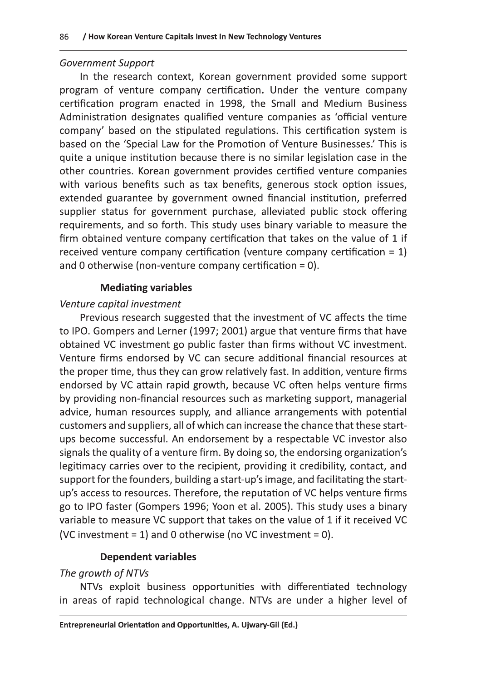#### **Government Support**

In the research context, Korean government provided some support program of venture company certification. Under the venture company certification program enacted in 1998, the Small and Medium Business Administration designates qualified venture companies as 'official venture company' based on the stipulated regulations. This certification system is based on the 'Special Law for the Promotion of Venture Businesses.' This is quite a unique institution because there is no similar legislation case in the other countries. Korean government provides certified venture companies with various benefits such as tax benefits, generous stock option issues, extended guarantee by government owned financial institution, preferred supplier status for government purchase, alleviated public stock offering requirements, and so forth. This study uses binary variable to measure the firm obtained venture company certification that takes on the value of 1 if received venture company certification (venture company certification =  $1$ ) and 0 otherwise (non-venture company certification = 0).

#### **Mediating variables**

#### Venture capital investment

Previous research suggested that the investment of VC affects the time to IPO. Gompers and Lerner (1997; 2001) argue that venture firms that have obtained VC investment go public faster than firms without VC investment. Venture firms endorsed by VC can secure additional financial resources at the proper time, thus they can grow relatively fast. In addition, venture firms endorsed by VC attain rapid growth, because VC often helps venture firms by providing non-financial resources such as marketing support, managerial advice, human resources supply, and alliance arrangements with potential customers and suppliers, all of which can increase the chance that these startups become successful. An endorsement by a respectable VC investor also signals the quality of a venture firm. By doing so, the endorsing organization's legitimacy carries over to the recipient, providing it credibility, contact, and support for the founders, building a start-up's image, and facilitating the startup's access to resources. Therefore, the reputation of VC helps venture firms go to IPO faster (Gompers 1996; Yoon et al. 2005). This study uses a binary variable to measure VC support that takes on the value of 1 if it received VC (VC investment = 1) and 0 otherwise (no VC investment = 0).

# **Dependent variables**

#### The growth of NTVs

NTVs exploit business opportunities with differentiated technology in areas of rapid technological change. NTVs are under a higher level of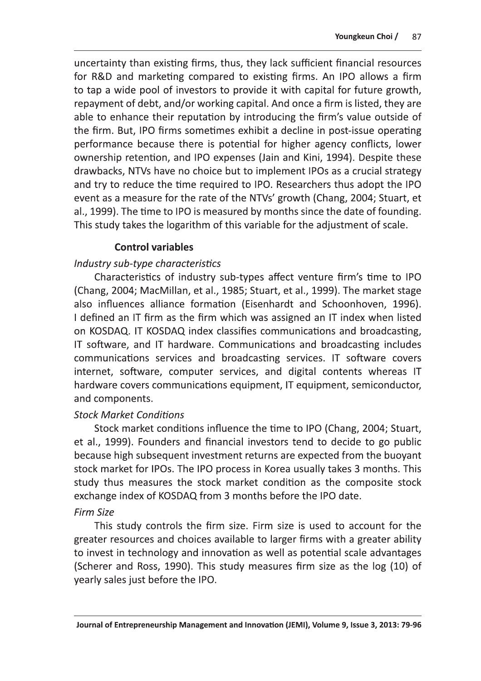uncertainty than existing firms, thus, they lack sufficient financial resources for R&D and marketing compared to existing firms. An IPO allows a firm to tap a wide pool of investors to provide it with capital for future growth, repayment of debt, and/or working capital. And once a firm is listed, they are able to enhance their reputation by introducing the firm's value outside of the firm. But, IPO firms sometimes exhibit a decline in post-issue operating performance because there is potential for higher agency conflicts, lower ownership retention, and IPO expenses (Jain and Kini, 1994). Despite these drawbacks, NTVs have no choice but to implement IPOs as a crucial strategy and try to reduce the time required to IPO. Researchers thus adopt the IPO event as a measure for the rate of the NTVs' growth (Chang, 2004; Stuart, et al., 1999). The time to IPO is measured by months since the date of founding. This study takes the logarithm of this variable for the adjustment of scale.

# **Control variables**

# Industry sub-type characteristics

Characteristics of industry sub-types affect venture firm's time to IPO (Chang, 2004; MacMillan, et al., 1985; Stuart, et al., 1999). The market stage also influences alliance formation (Eisenhardt and Schoonhoven, 1996). I defined an IT firm as the firm which was assigned an IT index when listed on KOSDAQ. IT KOSDAQ index classifies communications and broadcasting, IT software, and IT hardware. Communications and broadcasting includes communications services and broadcasting services. IT software covers internet, software, computer services, and digital contents whereas IT hardware covers communications equipment, IT equipment, semiconductor, and components.

#### **Stock Market Conditions**

Stock market conditions influence the time to IPO (Chang, 2004; Stuart, et al., 1999). Founders and financial investors tend to decide to go public because high subsequent investment returns are expected from the buoyant stock market for IPOs. The IPO process in Korea usually takes 3 months. This study thus measures the stock market condition as the composite stock exchange index of KOSDAQ from 3 months before the IPO date.

# **Firm Size**

This study controls the firm size. Firm size is used to account for the greater resources and choices available to larger firms with a greater ability to invest in technology and innovation as well as potential scale advantages (Scherer and Ross, 1990). This study measures firm size as the log (10) of yearly sales just before the IPO.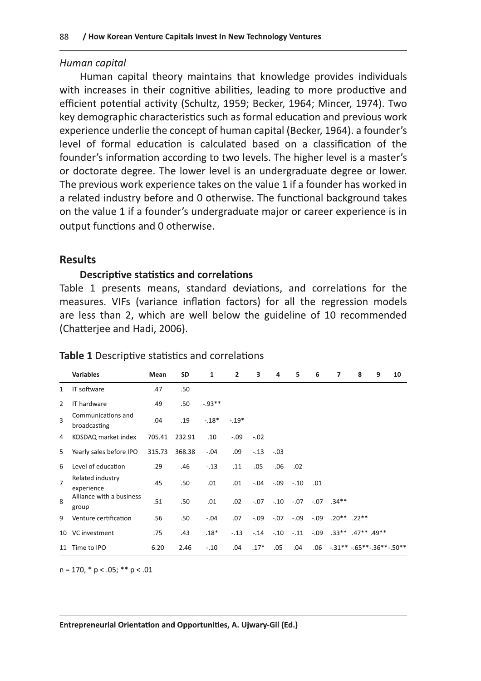#### Human capital

apitals Invest In New Technology Ventures<br>
ory maintains that knowledge provide<br>
cognitive abilities, leading to more pr<br>
y (Schultz, 1959; Becker, 1964; Mince<br>
teristics such as formal education and p Human capital theory maintains that knowledge provides individuals with increases in their cognitive abilities, leading to more productive and efficient potential activity (Schultz, 1959; Becker, 1964; Mincer, 1974). Two key demographic characteristics such as formal education and previous work experience underlie the concept of human capital (Becker, 1964). a founder's level of formal education is calculated based on a classification of the founder's information according to two levels. The higher level is a master's or doctorate degree. The lower level is an undergraduate degree or lower. The previous work experience takes on the value 1 if a founder has worked in a related industry before and 0 otherwise. The functional background takes on the value 1 if a founder's undergraduate major or career experience is in output functions and 0 otherwise.

#### Results

# Descriptive statistics and correlations

Table 1 presents means, standard deviations, and correlations for the measures. VIFs (variance inflation factors) for all the regression models are less than 2, which are well below the guideline of 10 recommended (Chatterjee and Hadi, 2006).

|                         | <b>Variables</b>                   | Mean   | <b>SD</b> | $\mathbf{1}$ | $\overline{2}$ | $\overline{\mathbf{3}}$ | 4       | 5      | 6      | $\overline{ }$ | 8                                          | 9 | 10 |
|-------------------------|------------------------------------|--------|-----------|--------------|----------------|-------------------------|---------|--------|--------|----------------|--------------------------------------------|---|----|
| $\mathbf{1}$            | IT software                        | .47    | .50       |              |                |                         |         |        |        |                |                                            |   |    |
| 2                       | IT hardware                        | .49    | .50       | $-0.93**$    |                |                         |         |        |        |                |                                            |   |    |
| $\overline{\mathbf{a}}$ | Communications and<br>broadcasting | .04    | .19       | $-.18*$      | $-.19*$        |                         |         |        |        |                |                                            |   |    |
| 4                       | KOSDAQ market index                | 705.41 | 232.91    | .10          | $-.09$         | $-.02$                  |         |        |        |                |                                            |   |    |
| 5                       | Yearly sales before IPO            | 315.73 | 368.38    | $-.04$       | .09            | $-.13$                  | $-.03$  |        |        |                |                                            |   |    |
| 6                       | Level of education                 | .29    | .46       | $-.13$       | .11            | .05                     | $-0.06$ | .02    |        |                |                                            |   |    |
| $\overline{7}$          | Related industry<br>experience     | .45    | .50       | .01          | .01            | $-0.04$                 | $-0.09$ | $-.10$ | .01    |                |                                            |   |    |
| 8                       | Alliance with a business<br>group  | .51    | .50       | .01          | .02            | $-.07$                  | $-0.10$ | $-.07$ |        | $-07$ .34**    |                                            |   |    |
| 9                       | Venture certification              | .56    | .50       | $-.04$       | .07            | $-0.09$                 | $-.07$  | $-.09$ | $-.09$ |                | $.20***$ .22**                             |   |    |
| 10                      | VC investment                      | .75    | .43       | $.18*$       | $-.13$         | $-.14$                  | $-.10$  | $-.11$ | $-.09$ |                | $.33***$ .47** .49**                       |   |    |
| 11                      | Time to IPO                        | 6.20   | 2.46      | $-.10$       | .04            | $.17*$                  | .05     | .04    | .06    |                | $-0.31***$ $-0.65***$ $-0.36***$ $-0.50**$ |   |    |

#### Table 1 Descriptive statistics and correlations

 $n = 170, *p < .05; **p < .01$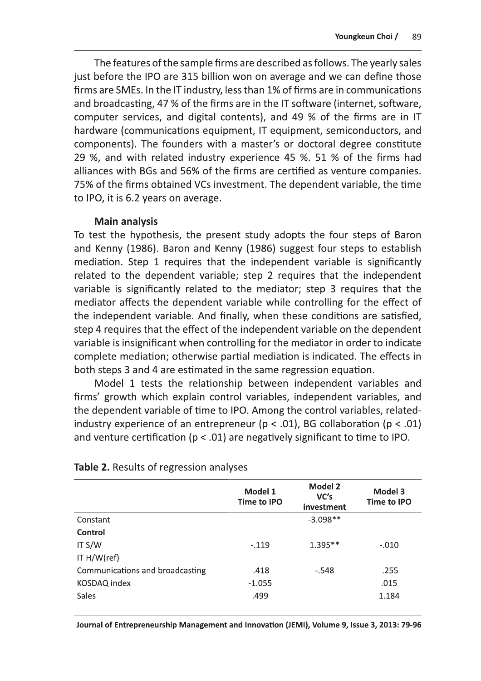The features of the sample firms are described as follows. The yearly sales just before the IPO are 315 billion won on average and we can define those firms are SMEs. In the IT industry, less than 1% of firms are in communications and broadcasting, 47 % of the firms are in the IT software (internet, software, computer services, and digital contents), and 49 % of the firms are in IT hardware (communications equipment, IT equipment, semiconductors, and components). The founders with a master's or doctoral degree constitute 29 %, and with related industry experience 45 %. 51 % of the firms had alliances with BGs and 56% of the firms are certified as venture companies. 75% of the firms obtained VCs investment. The dependent variable, the time to IPO, it is 6.2 years on average.

#### **Main analysis**

To test the hypothesis, the present study adopts the four steps of Baron and Kenny (1986). Baron and Kenny (1986) suggest four steps to establish mediation. Step 1 requires that the independent variable is significantly related to the dependent variable; step 2 requires that the independent variable is significantly related to the mediator; step 3 requires that the mediator affects the dependent variable while controlling for the effect of the independent variable. And finally, when these conditions are satisfied, step 4 requires that the effect of the independent variable on the dependent variable is insignificant when controlling for the mediator in order to indicate complete mediation; otherwise partial mediation is indicated. The effects in both steps 3 and 4 are estimated in the same regression equation.

Model 1 tests the relationship between independent variables and firms' growth which explain control variables, independent variables, and the dependent variable of time to IPO. Among the control variables, relatedindustry experience of an entrepreneur ( $p < .01$ ), BG collaboration ( $p < .01$ ) and venture certification ( $p < .01$ ) are negatively significant to time to IPO.

|                                 | Model 1<br>Time to IPO | Model 2<br>VC's<br>investment | Model 3<br><b>Time to IPO</b> |
|---------------------------------|------------------------|-------------------------------|-------------------------------|
| Constant                        |                        | $-3.098**$                    |                               |
| Control                         |                        |                               |                               |
| IT $S/W$                        | $-.119$                | $1.395**$                     | $-.010$                       |
| IT H/W(ref)                     |                        |                               |                               |
| Communications and broadcasting | .418                   | $-.548$                       | .255                          |
| KOSDAQ index                    | $-1.055$               |                               | .015                          |
| Sales                           | .499                   |                               | 1.184                         |

#### **Table 2.** Results of regression analyses

Journal of Entrepreneurship Management and Innovation (JEMI), Volume 9, Issue 3, 2013: 79-96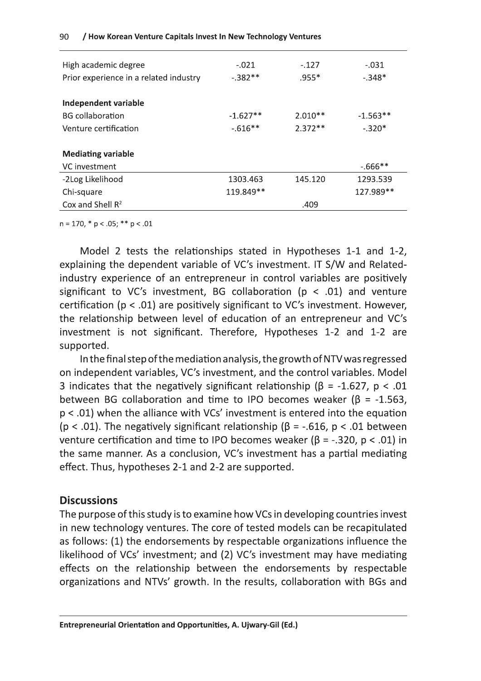| $-.021$<br>$-.382**$      | $-.127$<br>$.955*$ | $-.031$<br>$-.348*$ |  |  |  |  |
|---------------------------|--------------------|---------------------|--|--|--|--|
|                           |                    |                     |  |  |  |  |
| $-1.627**$                | $2.010**$          | $-1.563**$          |  |  |  |  |
| $-616**$                  | $2.372**$          | $-.320*$            |  |  |  |  |
|                           |                    |                     |  |  |  |  |
| <b>Mediating variable</b> |                    |                     |  |  |  |  |
|                           |                    | $-666$ **           |  |  |  |  |
| 1303.463                  | 145.120            | 1293.539            |  |  |  |  |
| 119.849**                 |                    | 127.989**           |  |  |  |  |
|                           | .409               |                     |  |  |  |  |
|                           |                    |                     |  |  |  |  |

 $n = 170$ , \*  $p < .05$ ; \*\*  $p < .01$ 

Model 2 tests the relationships stated in Hypotheses 1-1 and 1-2, explaining the dependent variable of VC's investment. IT S/W and Relatedindustry experience of an entrepreneur in control variables are positively significant to VC's investment, BG collaboration ( $p < .01$ ) and venture certification ( $p < .01$ ) are positively significant to VC's investment. However, the relationship between level of education of an entrepreneur and VC's investment is not significant. Therefore, Hypotheses 1-2 and 1-2 are supported.

In the final step of the mediation analysis, the growth of NTV was regressed on independent variables, VC's investment, and the control variables. Model 3 indicates that the negatively significant relationship ( $\beta$  = -1.627, p < .01 between BG collaboration and time to IPO becomes weaker ( $\beta$  = -1.563,  $p < .01$ ) when the alliance with VCs' investment is entered into the equation ( $p < .01$ ). The negatively significant relationship ( $\beta$  = -.616,  $p < .01$  between venture certification and time to IPO becomes weaker ( $\beta$  = -.320,  $p$  < .01) in the same manner. As a conclusion, VC's investment has a partial mediating effect. Thus, hypotheses 2-1 and 2-2 are supported.

#### **Discussions**

The purpose of this study is to examine how VCs in developing countries invest in new technology ventures. The core of tested models can be recapitulated as follows: (1) the endorsements by respectable organizations influence the likelihood of VCs' investment; and (2) VC's investment may have mediating effects on the relationship between the endorsements by respectable organizations and NTVs' growth. In the results, collaboration with BGs and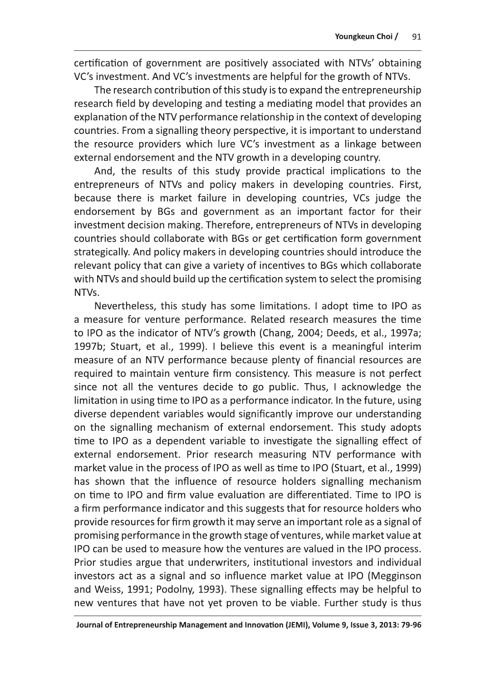certification of government are positively associated with NTVs' obtaining VC's investment. And VC's investments are helpful for the growth of NTVs.

The research contribution of this study is to expand the entrepreneurship research field by developing and testing a mediating model that provides an explanation of the NTV performance relationship in the context of developing countries. From a signalling theory perspective, it is important to understand the resource providers which lure VC's investment as a linkage between external endorsement and the NTV growth in a developing country.

And, the results of this study provide practical implications to the entrepreneurs of NTVs and policy makers in developing countries. First, because there is market failure in developing countries, VCs judge the endorsement by BGs and government as an important factor for their investment decision making. Therefore, entrepreneurs of NTVs in developing countries should collaborate with BGs or get certification form government strategically. And policy makers in developing countries should introduce the relevant policy that can give a variety of incentives to BGs which collaborate with NTVs and should build up the certification system to select the promising NTVs.

Nevertheless, this study has some limitations. I adopt time to IPO as a measure for venture performance. Related research measures the time to IPO as the indicator of NTV's growth (Chang, 2004; Deeds, et al., 1997a; 1997b; Stuart, et al., 1999). I believe this event is a meaningful interim measure of an NTV performance because plenty of financial resources are required to maintain venture firm consistency. This measure is not perfect since not all the ventures decide to go public. Thus, I acknowledge the limitation in using time to IPO as a performance indicator. In the future, using diverse dependent variables would significantly improve our understanding on the signalling mechanism of external endorsement. This study adopts time to IPO as a dependent variable to investigate the signalling effect of external endorsement. Prior research measuring NTV performance with market value in the process of IPO as well as time to IPO (Stuart, et al., 1999) has shown that the influence of resource holders signalling mechanism on time to IPO and firm value evaluation are differentiated. Time to IPO is a firm performance indicator and this suggests that for resource holders who provide resources for firm growth it may serve an important role as a signal of promising performance in the growth stage of ventures, while market value at IPO can be used to measure how the ventures are valued in the IPO process. Prior studies argue that underwriters, institutional investors and individual investors act as a signal and so influence market value at IPO (Megginson and Weiss, 1991; Podolny, 1993). These signalling effects may be helpful to new ventures that have not yet proven to be viable. Further study is thus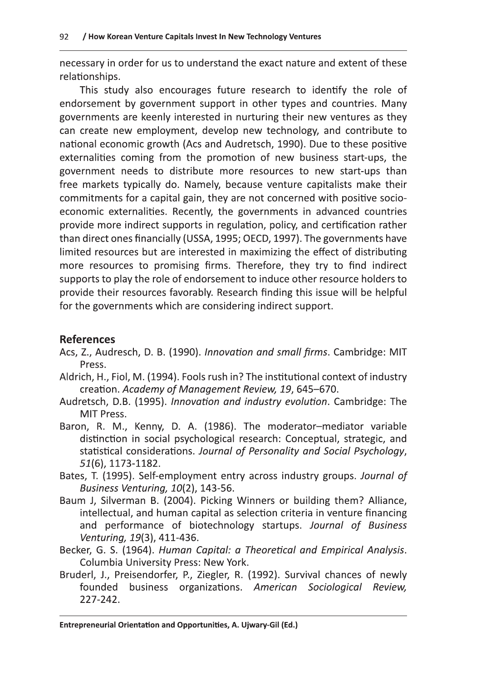necessary in order for us to understand the exact nature and extent of these relationships.

This study also encourages future research to identify the role of endorsement by government support in other types and countries. Many governments are keenly interested in nurturing their new ventures as they can create new employment, develop new technology, and contribute to national economic growth (Acs and Audretsch, 1990). Due to these positive externalities coming from the promotion of new business start-ups, the government needs to distribute more resources to new start-ups than free markets typically do. Namely, because venture capitalists make their commitments for a capital gain, they are not concerned with positive socioeconomic externalities. Recently, the governments in advanced countries provide more indirect supports in regulation, policy, and certification rather than direct ones financially (USSA, 1995; OECD, 1997). The governments have limited resources but are interested in maximizing the effect of distributing more resources to promising firms. Therefore, they try to find indirect supports to play the role of endorsement to induce other resource holders to provide their resources favorably. Research finding this issue will be helpful for the governments which are considering indirect support.

# **References**

- Acs, Z., Audresch, D. B. (1990). Innovation and small firms. Cambridge: MIT Press.
- Aldrich, H., Fiol, M. (1994). Fools rush in? The institutional context of industry creation. Academy of Management Review, 19, 645-670.
- Audretsch, D.B. (1995). Innovation and industry evolution. Cambridge: The MIT Press.
- Baron, R. M., Kenny, D. A. (1986). The moderator-mediator variable distinction in social psychological research: Conceptual, strategic, and statistical considerations. Journal of Personality and Social Psychology, 51(6), 1173-1182.
- Bates, T. (1995). Self-employment entry across industry groups. Journal of Business Venturing, 10(2), 143-56.
- Baum J, Silverman B. (2004). Picking Winners or building them? Alliance, intellectual, and human capital as selection criteria in venture financing and performance of biotechnology startups. Journal of Business Venturing, 19(3), 411-436.
- Becker, G. S. (1964). Human Capital: a Theoretical and Empirical Analysis. Columbia University Press: New York.
- Bruderl, J., Preisendorfer, P., Ziegler, R. (1992). Survival chances of newly founded business organizations. American Sociological Review, 227-242.

Entrepreneurial Orientation and Opportunities, A. Ujwary-Gil (Ed.)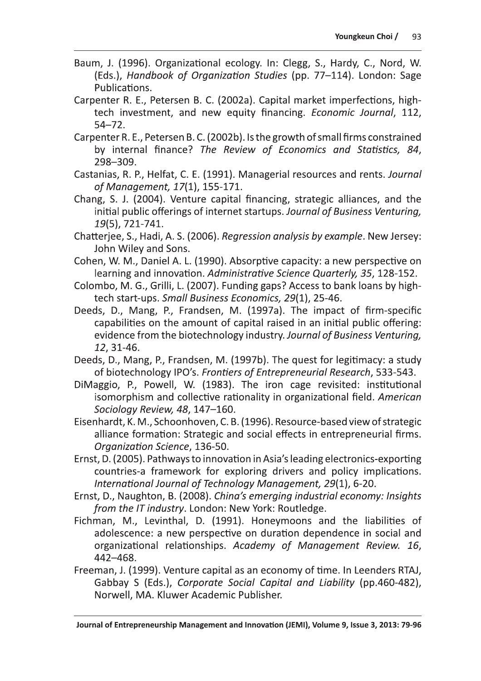- Baum, J. (1996). Organizational ecology. In: Clegg, S., Hardy, C., Nord, W. (Eds.), Handbook of Organization Studies (pp. 77-114). London: Sage Publications.
- Carpenter R. E., Petersen B. C. (2002a). Capital market imperfections, hightech investment, and new equity financing. Economic Journal, 112,  $54 - 72.$
- Carpenter R. E., Petersen B. C. (2002b). Is the growth of small firms constrained by internal finance? The Review of Economics and Statistics, 84, 298-309.
- Castanias, R. P., Helfat, C. E. (1991). Managerial resources and rents. Journal of Management, 17(1), 155-171.
- Chang, S. J. (2004). Venture capital financing, strategic alliances, and the initial public offerings of internet startups. Journal of Business Venturing, 19(5), 721-741.
- Chatteriee, S., Hadi, A. S. (2006). Regression analysis by example. New Jersey: John Wiley and Sons.
- Cohen, W. M., Daniel A. L. (1990). Absorptive capacity: a new perspective on learning and innovation. Administrative Science Quarterly, 35, 128-152.
- Colombo, M. G., Grilli, L. (2007). Funding gaps? Access to bank loans by hightech start-ups. Small Business Economics, 29(1), 25-46.
- Deeds, D., Mang, P., Frandsen, M. (1997a). The impact of firm-specific capabilities on the amount of capital raised in an initial public offering: evidence from the biotechnology industry. Journal of Business Venturing, 12, 31-46.
- Deeds, D., Mang, P., Frandsen, M. (1997b). The quest for legitimacy: a study of biotechnology IPO's. Frontiers of Entrepreneurial Research, 533-543.
- DiMaggio, P., Powell, W. (1983). The iron cage revisited: institutional isomorphism and collective rationality in organizational field. American Sociology Review, 48, 147-160.
- Eisenhardt, K. M., Schoonhoven, C. B. (1996). Resource-based view of strategic alliance formation: Strategic and social effects in entrepreneurial firms. Organization Science, 136-50.
- Ernst, D. (2005). Pathways to innovation in Asia's leading electronics-exporting countries-a framework for exploring drivers and policy implications. International Journal of Technology Management, 29(1), 6-20.
- Ernst, D., Naughton, B. (2008). Ching's emerging industrial economy: Insights from the IT industry. London: New York: Routledge.
- Fichman, M., Levinthal, D. (1991). Honeymoons and the liabilities of adolescence: a new perspective on duration dependence in social and organizational relationships. Academy of Management Review. 16, 442-468.
- Freeman, J. (1999). Venture capital as an economy of time. In Leenders RTAJ, Gabbay S (Eds.), Corporate Social Capital and Liability (pp.460-482), Norwell, MA. Kluwer Academic Publisher.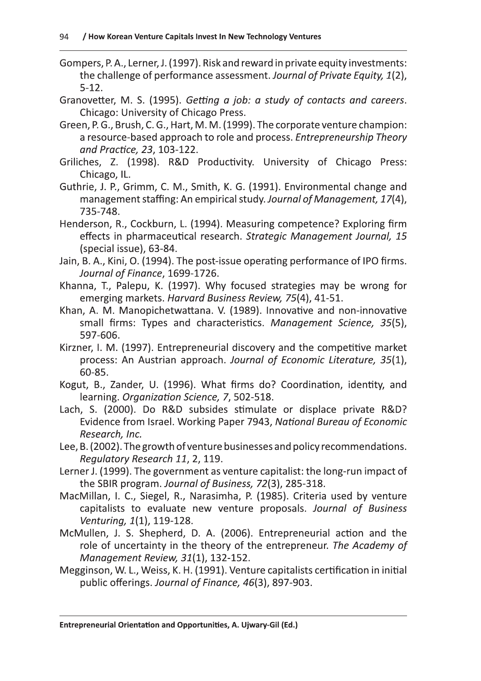- Gompers, P. A., Lerner, J. (1997). Risk and reward in private equity investments: the challenge of performance assessment. Journal of Private Equity, 1(2),  $5-12.$
- Granovetter, M. S. (1995). Getting a job: a study of contacts and careers. Chicago: University of Chicago Press.
- Green, P. G., Brush, C. G., Hart, M. M. (1999). The corporate venture champion: a resource-based approach to role and process. Entrepreneurship Theory and Practice, 23, 103-122.
- Griliches, Z. (1998). R&D Productivity. University of Chicago Press: Chicago, IL.
- Guthrie, J. P., Grimm, C. M., Smith, K. G. (1991). Environmental change and management staffing: An empirical study. Journal of Management, 17(4), 735-748.
- Henderson, R., Cockburn, L. (1994). Measuring competence? Exploring firm effects in pharmaceutical research. Strategic Management Journal, 15 (special issue), 63-84.
- Jain, B. A., Kini, O. (1994). The post-issue operating performance of IPO firms. Journal of Finance, 1699-1726.
- Khanna, T., Palepu, K. (1997). Why focused strategies may be wrong for emerging markets. Harvard Business Review, 75(4), 41-51.
- Khan, A. M. Manopichetwattana. V. (1989). Innovative and non-innovative small firms: Types and characteristics. Management Science, 35(5), 597-606.
- Kirzner, I. M. (1997). Entrepreneurial discovery and the competitive market process: An Austrian approach. Journal of Economic Literature, 35(1), 60-85.
- Kogut, B., Zander, U. (1996). What firms do? Coordination, identity, and learning. Organization Science, 7, 502-518.
- Lach, S. (2000). Do R&D subsides stimulate or displace private R&D? Evidence from Israel. Working Paper 7943, National Bureau of Economic Research, Inc.
- Lee, B. (2002). The growth of venture businesses and policy recommendations. Regulatory Research 11, 2, 119.
- Lerner J. (1999). The government as venture capitalist: the long-run impact of the SBIR program. Journal of Business, 72(3), 285-318.
- MacMillan, I. C., Siegel, R., Narasimha, P. (1985). Criteria used by venture capitalists to evaluate new venture proposals. Journal of Business Venturing, 1(1), 119-128.
- McMullen, J. S. Shepherd, D. A. (2006). Entrepreneurial action and the role of uncertainty in the theory of the entrepreneur. The Academy of Management Review, 31(1), 132-152.
- Megginson, W. L., Weiss, K. H. (1991). Venture capitalists certification in initial public offerings. Journal of Finance, 46(3), 897-903.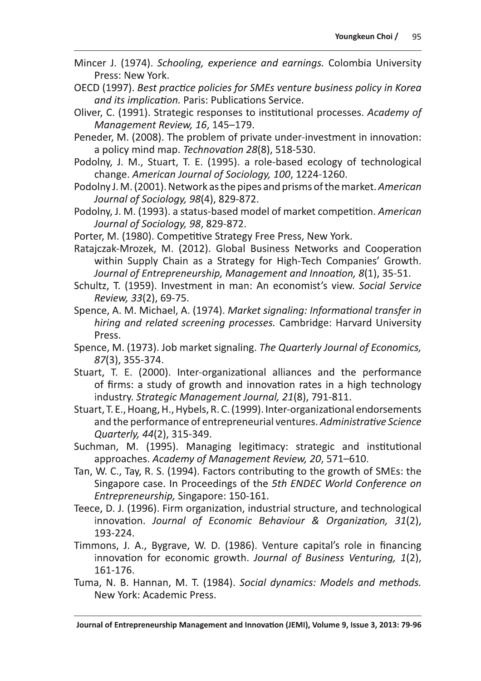- Mincer J. (1974). Schooling, experience and earnings. Colombia University Press: New York.
- OECD (1997). Best practice policies for SMEs venture business policy in Korea and its implication. Paris: Publications Service.
- Oliver, C. (1991). Strategic responses to institutional processes. Academy of Management Review, 16, 145-179.
- Peneder, M. (2008). The problem of private under-investment in innovation: a policy mind map. Technovation 28(8), 518-530.
- Podolny, J. M., Stuart, T. E. (1995). a role-based ecology of technological change. American Journal of Sociology, 100, 1224-1260.
- Podolny J. M. (2001). Network as the pipes and prisms of the market. American Journal of Sociology, 98(4), 829-872.
- Podolny, J. M. (1993). a status-based model of market competition. American Journal of Sociology, 98, 829-872.
- Porter, M. (1980). Competitive Strategy Free Press, New York.
- Ratajczak-Mrozek, M. (2012). Global Business Networks and Cooperation within Supply Chain as a Strategy for High-Tech Companies' Growth. Journal of Entrepreneurship, Management and Innoation, 8(1), 35-51.
- Schultz, T. (1959). Investment in man: An economist's view. Social Service Review, 33(2), 69-75.
- Spence, A. M. Michael, A. (1974). Market signaling: Informational transfer in hiring and related screening processes. Cambridge: Harvard University Press.
- Spence, M. (1973). Job market signaling. The Quarterly Journal of Economics, 87(3), 355-374.
- Stuart, T. E. (2000). Inter-organizational alliances and the performance of firms: a study of growth and innovation rates in a high technology industry. Strategic Management Journal, 21(8), 791-811.
- Stuart, T. E., Hoang, H., Hybels, R. C. (1999). Inter-organizational endorsements and the performance of entrepreneurial ventures. Administrative Science Quarterly, 44(2), 315-349.
- Suchman, M. (1995). Managing legitimacy: strategic and institutional approaches. Academy of Management Review, 20, 571-610.
- Tan, W. C., Tay, R. S. (1994). Factors contributing to the growth of SMEs: the Singapore case. In Proceedings of the 5th ENDEC World Conference on Entrepreneurship, Singapore: 150-161.
- Teece, D. J. (1996). Firm organization, industrial structure, and technological innovation. Journal of Economic Behaviour & Organization, 31(2), 193-224.
- Timmons, J. A., Bygrave, W. D. (1986). Venture capital's role in financing innovation for economic growth. Journal of Business Venturing, 1(2), 161-176.
- Tuma, N. B. Hannan, M. T. (1984). Social dynamics: Models and methods. New York: Academic Press.

Journal of Entrepreneurship Management and Innovation (JEMI), Volume 9, Issue 3, 2013: 79-96